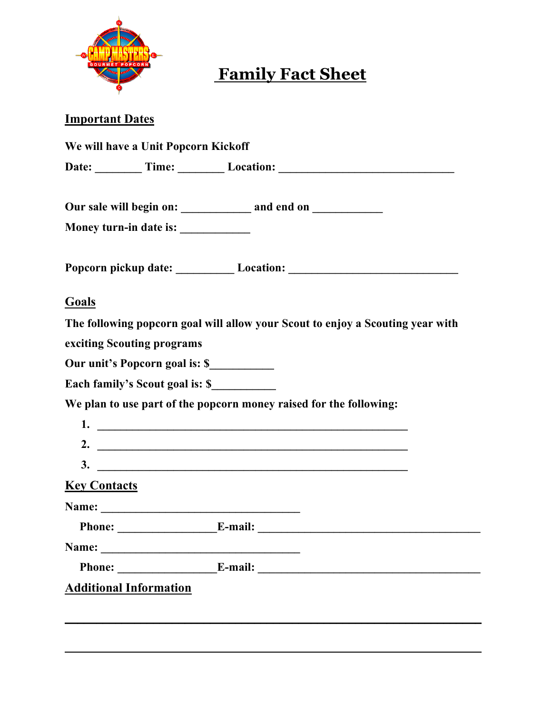

# **Family Fact Sheet**

### **Important Dates**

| Money turn-in date is: ____________ |                                                                                |
|-------------------------------------|--------------------------------------------------------------------------------|
|                                     | Popcorn pickup date: Location: Location: 2008                                  |
| <b>Goals</b>                        |                                                                                |
|                                     | The following popcorn goal will allow your Scout to enjoy a Scouting year with |
| exciting Scouting programs          |                                                                                |
| Our unit's Popcorn goal is: \$      |                                                                                |
| Each family's Scout goal is: \$     |                                                                                |
|                                     | We plan to use part of the popcorn money raised for the following:             |
|                                     |                                                                                |
|                                     | 2. $\overline{\phantom{a}}$                                                    |
|                                     | $3.$ $\overline{\phantom{a}}$                                                  |
| <b>Key Contacts</b>                 |                                                                                |
|                                     |                                                                                |
|                                     |                                                                                |
|                                     |                                                                                |
| Name:                               |                                                                                |
|                                     | $E$ -mail: $\qquad \qquad$                                                     |

**\_\_\_\_\_\_\_\_\_\_\_\_\_\_\_\_\_\_\_\_\_\_\_\_\_\_\_\_\_\_\_\_\_\_\_\_\_\_\_\_\_\_\_\_\_\_\_\_\_\_\_\_\_\_\_\_\_\_\_\_\_\_\_\_\_\_**